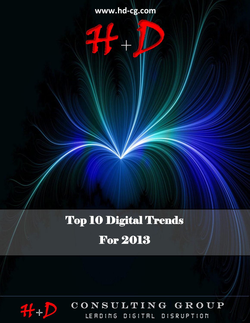**TOP 10 DIGITAL TRENDS FOR 2013 www.hd-cg.com**

14-10

# Top 10 Digital Trends

# For 2013



 $CONSULTING G R O UP$ LERDING DIGITRL DISRUPTION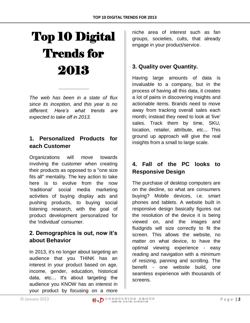# Top 10 Digital Trends for 2013

*The web has been in a state of flux since its inception, and this year is no different. Here's what trends are expected to take off in 2013.*

*\_\_\_\_\_\_\_\_\_\_\_*

# **1. Personalized Products for each Customer**

Organizations will move towards involving the customer when creating their products as opposed to a "one size fits all" mentality. The key action to take here is to evolve from the now 'traditional' social media marketing activities of buying display ads and pushing products, to buying social listening research, with the goal of product development personalized for the 'individual' consumer.

# **2. Demographics is out, now it's about Behavior**

In 2013, it's no longer about targeting an audience that you THINK has an interest in your product based on age, income, gender, education, historical data, etc… It's about targeting the audience you KNOW has an interest in your product by focusing on a more

niche area of interest such as fan groups, societies, cults, that already engage in your product/service.

# **3. Quality over Quantity.**

Having large amounts of data is invaluable to a company, but in the process of having all this data, it creates a lot of pains in discovering insights and actionable items. Brands need to move away from tracking overall sales each month; instead they need to look at 'live' sales. Track them by time, SKU, location, retailer, attribute, etc... This ground up approach will give the real insights from a small to large scale.

# **4. Fall of the PC looks to Responsive Design**

The purchase of desktop computers are on the decline, so what are consumers buying? Mobile devices, i.e. smart phones and tablets. A website built in responsive design basically figures out the resolution of the device it is being viewed on, and the images and fluidgrids will size correctly to fit the screen. This allows the website, no matter on what device, to have the optimal viewing experience - easy reading and navigation with a minimum of resizing, panning and scrolling. The benefit - one website build, one seamless experience with thousands of screens.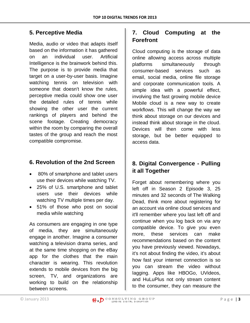#### **5. Perceptive Media**

Media, audio or video that adapts itself based on the information it has gathered on an individual user. Artificial Intelligence is the brainwork behind this. The purpose is to provide media that target on a user-by-user basis. Imagine watching tennis on television with someone that doesn't know the rules, perceptive media could show one user the detailed rules of tennis while showing the other user the current rankings of players and behind the scene footage. Creating democracy within the room by comparing the overall tastes of the group and reach the most compatible compromise.

#### **6. Revolution of the 2nd Screen**

- 80% of smartphone and tablet users use their devices while watching TV.
- 25% of U.S. smartphone and tablet users use their devices while watching TV multiple times per day.
- 51% of those who post on social media while watching

As consumers are engaging in one type of media, they are simultaneously engage in another. Imagine a consumer watching a television drama series, and at the same time shopping on the eBay app for the clothes that the main character is wearing. This revolution extends to mobile devices from the big screen, TV, and organizations are working to build on the relationship between screens.

# **7. Cloud Computing at the Forefront**

Cloud computing is the storage of data online allowing access across multiple platforms simultaneously through consumer-based services such as email, social media, online file storage and corporate communication tools. A simple idea with a powerful effect, involving the fast growing mobile device Mobile cloud is a new way to create workflows. This will change the way we think about storage on our devices and instead think about storage in the cloud. Devices will then come with less storage, but be better equipped to access data.

# **8. Digital Convergence - Pulling it all Together**

Forget about remembering where you left off in Season 2 Episode 3, 25 minutes and 32 seconds of The Walking Dead, think more about registering for an account via online cloud services and it'll remember where you last left off and continue when you log back on via any compatible device. To give you even more, these services can make recommendations based on the content you have previously viewed. Nowadays, it's not about finding the video, it's about how fast your internet connection is so you can stream the video without lagging. Apps like HBOGo, UVideos, and HuLuPlus not only stream content to the consumer, they can measure the